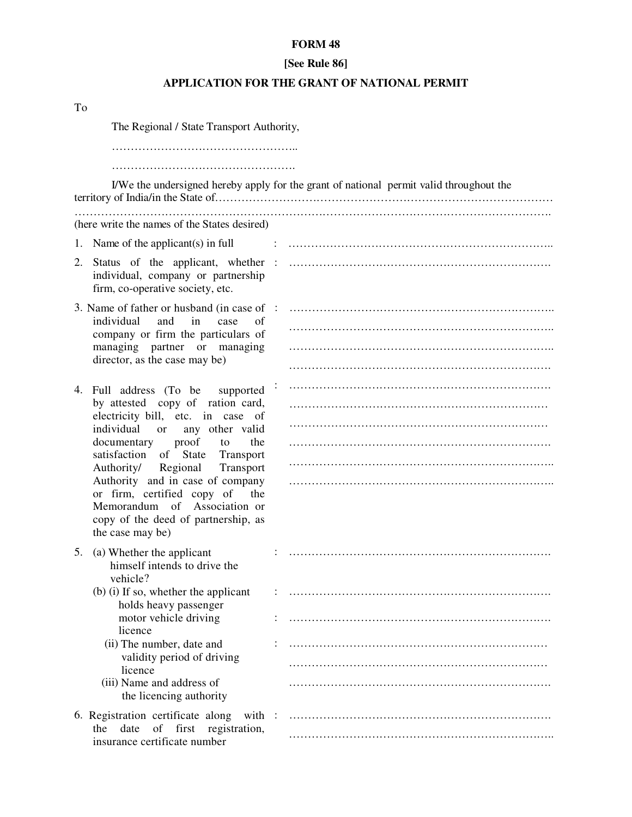## **FORM 48**

## **[See Rule 86]**

## **APPLICATION FOR THE GRANT OF NATIONAL PERMIT**

| To |                                                                                                                 |                   |                                                                                         |  |  |
|----|-----------------------------------------------------------------------------------------------------------------|-------------------|-----------------------------------------------------------------------------------------|--|--|
|    | The Regional / State Transport Authority,                                                                       |                   |                                                                                         |  |  |
|    |                                                                                                                 |                   |                                                                                         |  |  |
|    |                                                                                                                 |                   | I/We the undersigned hereby apply for the grant of national permit valid throughout the |  |  |
|    | (here write the names of the States desired)                                                                    |                   |                                                                                         |  |  |
|    | 1. Name of the applicant $(s)$ in full                                                                          |                   |                                                                                         |  |  |
|    | 2. Status of the applicant, whether<br>individual, company or partnership<br>firm, co-operative society, etc.   | $\sim$ 100 $\sim$ |                                                                                         |  |  |
|    | 3. Name of father or husband (in case of :                                                                      |                   |                                                                                         |  |  |
|    | and<br>individual<br>$\sin$<br>case<br>of<br>company or firm the particulars of<br>managing partner or managing |                   |                                                                                         |  |  |
|    |                                                                                                                 |                   |                                                                                         |  |  |
|    | director, as the case may be)                                                                                   |                   |                                                                                         |  |  |
|    | 4. Full address (To be supported                                                                                |                   |                                                                                         |  |  |
|    | by attested copy of ration card,<br>electricity bill, etc. in case of<br>individual<br>or<br>any other valid    |                   |                                                                                         |  |  |
|    |                                                                                                                 |                   |                                                                                         |  |  |
|    | proof<br>documentary<br>the<br>to<br>satisfaction of State Transport                                            |                   |                                                                                         |  |  |
|    | Authority/ Regional<br>Transport                                                                                |                   |                                                                                         |  |  |
|    | Authority and in case of company<br>or firm, certified copy of the                                              |                   |                                                                                         |  |  |
|    | Memorandum of Association or                                                                                    |                   |                                                                                         |  |  |
|    | copy of the deed of partnership, as<br>the case may be)                                                         |                   |                                                                                         |  |  |
|    | 5. (a) Whether the applicant                                                                                    |                   |                                                                                         |  |  |
|    | himself intends to drive the                                                                                    |                   |                                                                                         |  |  |
|    | vehicle?<br>(b) (i) If so, whether the applicant                                                                |                   |                                                                                         |  |  |
|    | holds heavy passenger                                                                                           |                   |                                                                                         |  |  |
|    | motor vehicle driving<br>licence                                                                                |                   |                                                                                         |  |  |
|    | (ii) The number, date and                                                                                       |                   |                                                                                         |  |  |
|    | validity period of driving<br>licence                                                                           |                   |                                                                                         |  |  |
|    | (iii) Name and address of<br>the licencing authority                                                            |                   |                                                                                         |  |  |
|    | 6. Registration certificate along<br>with :                                                                     |                   |                                                                                         |  |  |
|    | date<br>of<br>first<br>registration,<br>the<br>insurance certificate number                                     |                   |                                                                                         |  |  |